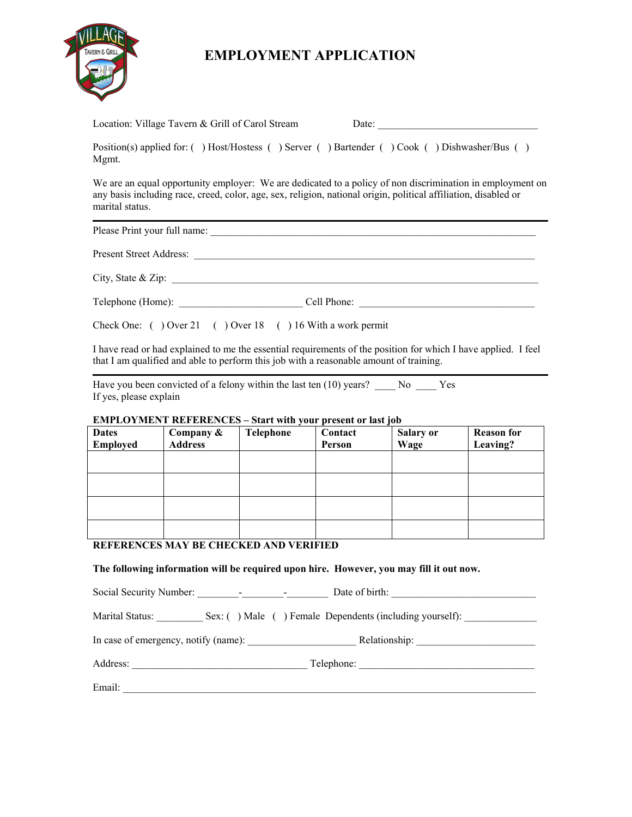

## **EMPLOYMENT APPLICATION**

| Location: Village Tavern & Grill of Carol Stream                                                      |  | Date: |  |
|-------------------------------------------------------------------------------------------------------|--|-------|--|
| Position(s) applied for: () Host/Hostess () Server () Bartender () Cook () Dishwasher/Bus ()<br>Mgmt. |  |       |  |

We are an equal opportunity employer: We are dedicated to a policy of non discrimination in employment on any basis including race, creed, color, age, sex, religion, national origin, political affiliation, disabled or marital status.

Please Print your full name:

Present Street Address: \_\_\_\_\_\_\_\_\_\_\_\_\_\_\_\_\_\_\_\_\_\_\_\_\_\_\_\_\_\_\_\_\_\_\_\_\_\_\_\_\_\_\_\_\_\_\_\_\_\_\_\_\_\_\_\_\_\_\_\_\_\_\_\_\_\_

City, State  $\&$  Zip:

Telephone (Home): <br>
Cell Phone:  $\Box$ 

Check One: ( ) Over 21 ( ) Over 18 ( ) 16 With a work permit

I have read or had explained to me the essential requirements of the position for which I have applied. I feel that I am qualified and able to perform this job with a reasonable amount of training.

Have you been convicted of a felony within the last ten  $(10)$  years? \_\_\_\_ No \_\_\_\_ Yes If yes, please explain

## **EMPLOYMENT REFERENCES – Start with your present or last job**

| <b>Dates</b> | Company &      | Telephone | Contact | <b>Salary or</b> | <b>Reason for</b> |
|--------------|----------------|-----------|---------|------------------|-------------------|
| Employed     | <b>Address</b> |           | Person  | Wage             | Leaving?          |
|              |                |           |         |                  |                   |
|              |                |           |         |                  |                   |
|              |                |           |         |                  |                   |
|              |                |           |         |                  |                   |
|              |                |           |         |                  |                   |
|              |                |           |         |                  |                   |
|              |                |           |         |                  |                   |
|              |                |           |         |                  |                   |

## **REFERENCES MAY BE CHECKED AND VERIFIED**

**The following information will be required upon hire. However, you may fill it out now.** 

Social Security Number: \_\_\_\_\_\_\_\_-\_\_\_\_\_\_\_\_-\_\_\_\_\_\_\_\_ Date of birth: \_\_\_\_\_\_\_\_\_\_\_\_\_\_\_\_\_\_\_\_\_\_\_\_\_\_\_\_ Marital Status: \_\_\_\_\_\_\_\_\_\_ Sex: ( ) Male ( ) Female Dependents (including yourself): \_\_\_\_\_\_\_\_\_\_\_\_\_ In case of emergency, notify (name): \_\_\_\_\_\_\_\_\_\_\_\_\_\_\_\_\_\_\_\_\_ Relationship: \_\_\_\_\_\_\_\_\_\_\_\_\_\_\_\_\_\_\_\_\_\_\_ Address: Telephone: Email: \_\_\_\_\_\_\_\_\_\_\_\_\_\_\_\_\_\_\_\_\_\_\_\_\_\_\_\_\_\_\_\_\_\_\_\_\_\_\_\_\_\_\_\_\_\_\_\_\_\_\_\_\_\_\_\_\_\_\_\_\_\_\_\_\_\_\_\_\_\_\_\_\_\_\_\_\_\_\_\_